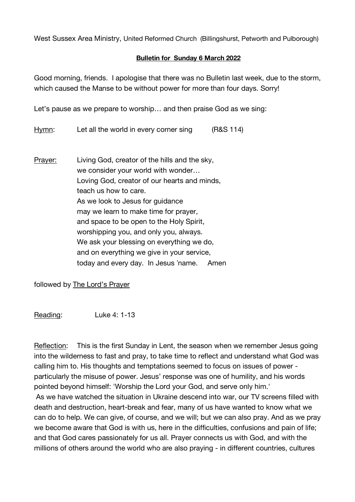West Sussex Area Ministry, United Reformed Church (Billingshurst, Petworth and Pulborough)

## **Bulletin for Sunday 6 March 2022**

Good morning, friends. I apologise that there was no Bulletin last week, due to the storm, which caused the Manse to be without power for more than four days. Sorry!

Let's pause as we prepare to worship… and then praise God as we sing:

Hymn: Let all the world in every corner sing (R&S 114)

Prayer: Living God, creator of the hills and the sky, we consider your world with wonder… Loving God, creator of our hearts and minds, teach us how to care. As we look to Jesus for quidance may we learn to make time for prayer, and space to be open to the Holy Spirit, worshipping you, and only you, always. We ask your blessing on everything we do, and on everything we give in your service, today and every day. In Jesus "name. Amen

followed by The Lord's Prayer

Reading: Luke 4: 1-13

Reflection: This is the first Sunday in Lent, the season when we remember Jesus going into the wilderness to fast and pray, to take time to reflect and understand what God was calling him to. His thoughts and temptations seemed to focus on issues of power particularly the misuse of power. Jesus' response was one of humility, and his words pointed beyond himself: 'Worship the Lord your God, and serve only him.' As we have watched the situation in Ukraine descend into war, our TV screens filled with death and destruction, heart-break and fear, many of us have wanted to know what we can do to help. We can give, of course, and we will; but we can also pray. And as we pray we become aware that God is with us, here in the difficulties, confusions and pain of life; and that God cares passionately for us all. Prayer connects us with God, and with the millions of others around the world who are also praying - in different countries, cultures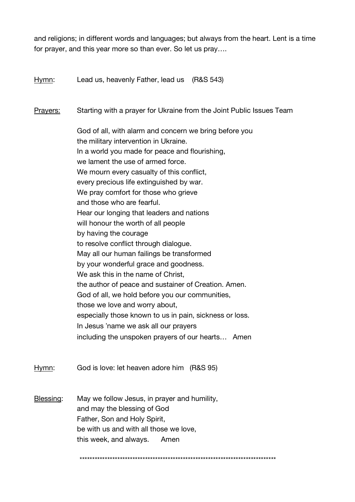and religions; in different words and languages; but always from the heart. Lent is a time for prayer, and this year more so than ever. So let us pray….

Hymn: Lead us, heavenly Father, lead us (R&S 543)

Prayers: Starting with a prayer for Ukraine from the Joint Public Issues Team

God of all, with alarm and concern we bring before you the military intervention in Ukraine. In a world you made for peace and flourishing, we lament the use of armed force. We mourn every casualty of this conflict, every precious life extinguished by war. We pray comfort for those who grieve and those who are fearful. Hear our longing that leaders and nations will honour the worth of all people by having the courage to resolve conflict through dialogue. May all our human failings be transformed by your wonderful grace and goodness. We ask this in the name of Christ, the author of peace and sustainer of Creation. Amen. God of all, we hold before you our communities, those we love and worry about, especially those known to us in pain, sickness or loss. In Jesus "name we ask all our prayers including the unspoken prayers of our hearts… Amen

Hymn: God is love: let heaven adore him (R&S 95)

Blessing: May we follow Jesus, in prayer and humility, and may the blessing of God Father, Son and Holy Spirit, be with us and with all those we love, this week, and always. Amen

\*\*\*\*\*\*\*\*\*\*\*\*\*\*\*\*\*\*\*\*\*\*\*\*\*\*\*\*\*\*\*\*\*\*\*\*\*\*\*\*\*\*\*\*\*\*\*\*\*\*\*\*\*\*\*\*\*\*\*\*\*\*\*\*\*\*\*\*\*\*\*\*\*\*\*\*\*\*